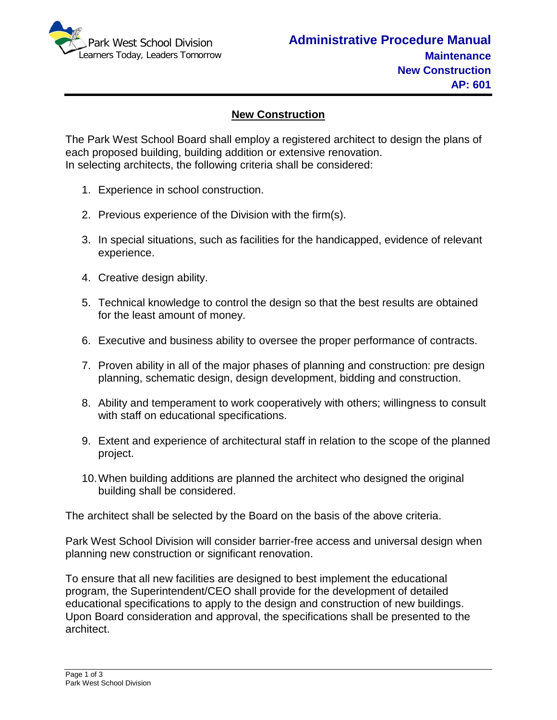

## **New Construction**

The Park West School Board shall employ a registered architect to design the plans of each proposed building, building addition or extensive renovation. In selecting architects, the following criteria shall be considered:

- 1. Experience in school construction.
- 2. Previous experience of the Division with the firm(s).
- 3. In special situations, such as facilities for the handicapped, evidence of relevant experience.
- 4. Creative design ability.
- 5. Technical knowledge to control the design so that the best results are obtained for the least amount of money.
- 6. Executive and business ability to oversee the proper performance of contracts.
- 7. Proven ability in all of the major phases of planning and construction: pre design planning, schematic design, design development, bidding and construction.
- 8. Ability and temperament to work cooperatively with others; willingness to consult with staff on educational specifications.
- 9. Extent and experience of architectural staff in relation to the scope of the planned project.
- 10.When building additions are planned the architect who designed the original building shall be considered.

The architect shall be selected by the Board on the basis of the above criteria.

Park West School Division will consider barrier-free access and universal design when planning new construction or significant renovation.

To ensure that all new facilities are designed to best implement the educational program, the Superintendent/CEO shall provide for the development of detailed educational specifications to apply to the design and construction of new buildings. Upon Board consideration and approval, the specifications shall be presented to the architect.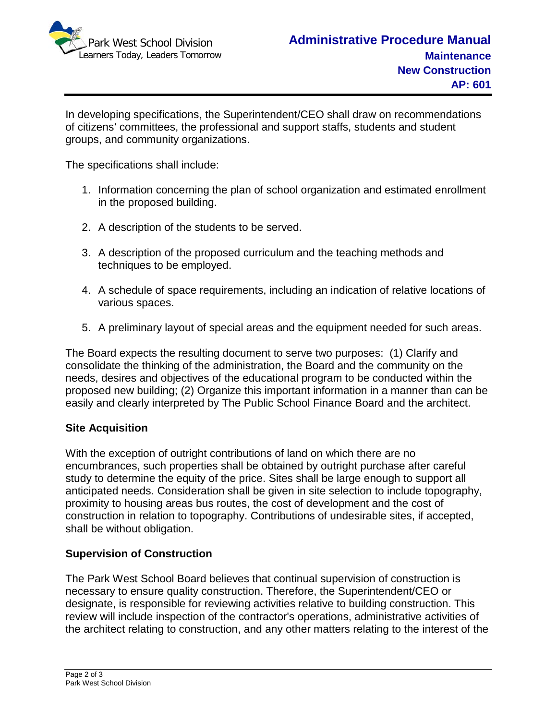

In developing specifications, the Superintendent/CEO shall draw on recommendations of citizens' committees, the professional and support staffs, students and student groups, and community organizations.

The specifications shall include:

- 1. Information concerning the plan of school organization and estimated enrollment in the proposed building.
- 2. A description of the students to be served.
- 3. A description of the proposed curriculum and the teaching methods and techniques to be employed.
- 4. A schedule of space requirements, including an indication of relative locations of various spaces.
- 5. A preliminary layout of special areas and the equipment needed for such areas.

The Board expects the resulting document to serve two purposes: (1) Clarify and consolidate the thinking of the administration, the Board and the community on the needs, desires and objectives of the educational program to be conducted within the proposed new building; (2) Organize this important information in a manner than can be easily and clearly interpreted by The Public School Finance Board and the architect.

## **Site Acquisition**

With the exception of outright contributions of land on which there are no encumbrances, such properties shall be obtained by outright purchase after careful study to determine the equity of the price. Sites shall be large enough to support all anticipated needs. Consideration shall be given in site selection to include topography, proximity to housing areas bus routes, the cost of development and the cost of construction in relation to topography. Contributions of undesirable sites, if accepted, shall be without obligation.

## **Supervision of Construction**

The Park West School Board believes that continual supervision of construction is necessary to ensure quality construction. Therefore, the Superintendent/CEO or designate, is responsible for reviewing activities relative to building construction. This review will include inspection of the contractor's operations, administrative activities of the architect relating to construction, and any other matters relating to the interest of the